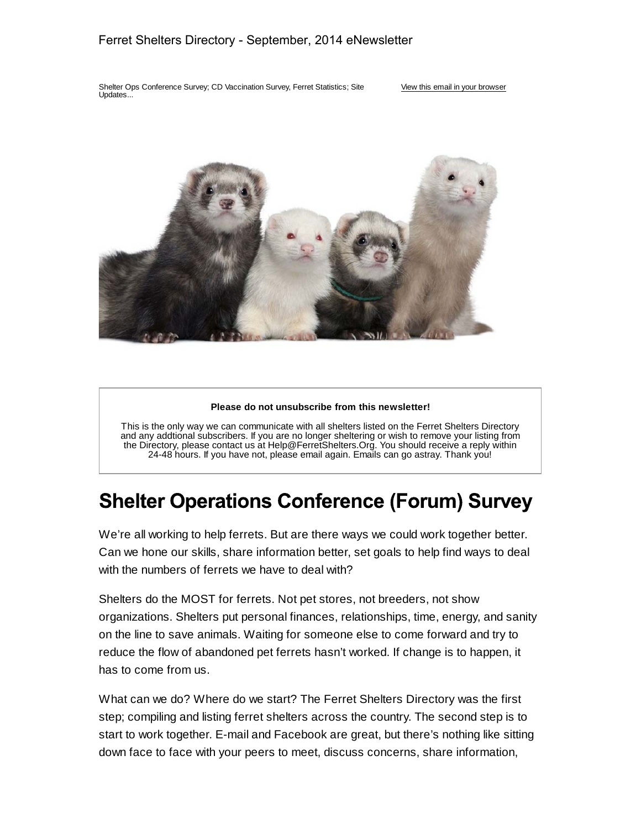#### Ferret Shelters Directory - September, 2014 eNewsletter

Shelter Ops Conference Survey; CD Vaccination Survey, Ferret Statistics; Site Updates...

#### View this email in your browser



#### **Please do not unsubscribe from this newsletter!**

This is the only way we can communicate with all shelters listed on the Ferret Shelters Directory and any addtional subscribers. If you are no longer sheltering or wish to remove your listing from the Directory, please contact us at Help@FerretShelters.Org. You should receive a reply within 24-48 hours. If you have not, please email again. Emails can go astray. Thank you!

## **Shelter Operations Conference (Forum) Survey**

We're all working to help ferrets. But are there ways we could work together better. Can we hone our skills, share information better, set goals to help find ways to deal with the numbers of ferrets we have to deal with?

Shelters do the MOST for ferrets. Not pet stores, not breeders, not show organizations. Shelters put personal finances, relationships, time, energy, and sanity on the line to save animals. Waiting for someone else to come forward and try to reduce the flow of abandoned pet ferrets hasn't worked. If change is to happen, it has to come from us.

What can we do? Where do we start? The Ferret Shelters Directory was the first step; compiling and listing ferret shelters across the country. The second step is to start to work together. E-mail and Facebook are great, but there's nothing like sitting down face to face with your peers to meet, discuss concerns, share information,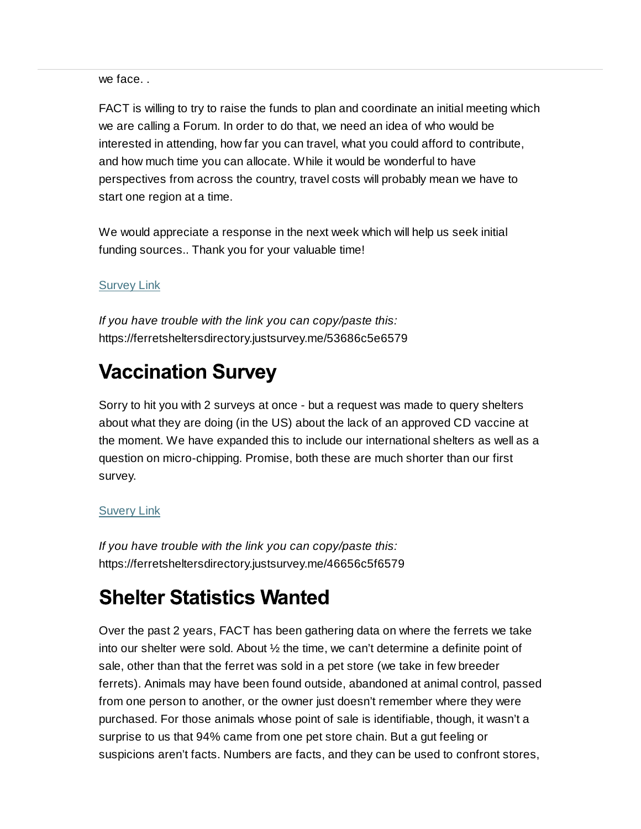we face. .

FACT is willing to try to raise the funds to plan and coordinate an initial meeting which we are calling a Forum. In order to do that, we need an idea of who would be interested in attending, how far you can travel, what you could afford to contribute, and how much time you can allocate. While it would be wonderful to have perspectives from across the country, travel costs will probably mean we have to start one region at a time.

We would appreciate a response in the next week which will help us seek initial funding sources.. Thank you for your valuable time!

### Survey Link

*If you have trouble with the link you can copy/paste this:* https://ferretsheltersdirectory.justsurvey.me/53686c5e6579

# **Vaccination Survey**

Sorry to hit you with 2 surveys at once - but a request was made to query shelters about what they are doing (in the US) about the lack of an approved CD vaccine at the moment. We have expanded this to include our international shelters as well as a question on micro-chipping. Promise, both these are much shorter than our first survey.

#### Suvery Link

*If you have trouble with the link you can copy/paste this:* https://ferretsheltersdirectory.justsurvey.me/46656c5f6579

# **Shelter Statistics Wanted**

Over the past 2 years, FACT has been gathering data on where the ferrets we take into our shelter were sold. About ½ the time, we can't determine a definite point of sale, other than that the ferret was sold in a pet store (we take in few breeder ferrets). Animals may have been found outside, abandoned at animal control, passed from one person to another, or the owner just doesn't remember where they were purchased. For those animals whose point of sale is identifiable, though, it wasn't a surprise to us that 94% came from one pet store chain. But a gut feeling or suspicions aren't facts. Numbers are facts, and they can be used to confront stores,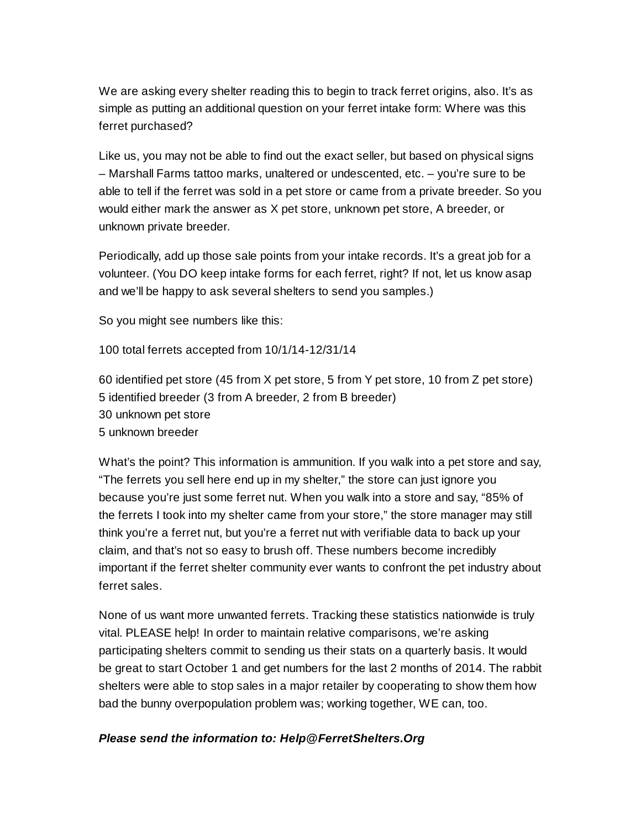We are asking every shelter reading this to begin to track ferret origins, also. It's as simple as putting an additional question on your ferret intake form: Where was this ferret purchased?

Like us, you may not be able to find out the exact seller, but based on physical signs – Marshall Farms tattoo marks, unaltered or undescented, etc. – you're sure to be able to tell if the ferret was sold in a pet store or came from a private breeder. So you would either mark the answer as X pet store, unknown pet store, A breeder, or unknown private breeder.

Periodically, add up those sale points from your intake records. It's a great job for a volunteer. (You DO keep intake forms for each ferret, right? If not, let us know asap and we'll be happy to ask several shelters to send you samples.)

So you might see numbers like this:

100 total ferrets accepted from 10/1/14-12/31/14

60 identified pet store (45 from X pet store, 5 from Y pet store, 10 from Z pet store) 5 identified breeder (3 from A breeder, 2 from B breeder) 30 unknown pet store 5 unknown breeder

What's the point? This information is ammunition. If you walk into a pet store and say, "The ferrets you sell here end up in my shelter," the store can just ignore you because you're just some ferret nut. When you walk into a store and say, "85% of the ferrets I took into my shelter came from your store," the store manager may still think you're a ferret nut, but you're a ferret nut with verifiable data to back up your claim, and that's not so easy to brush off. These numbers become incredibly important if the ferret shelter community ever wants to confront the pet industry about ferret sales.

None of us want more unwanted ferrets. Tracking these statistics nationwide is truly vital. PLEASE help! In order to maintain relative comparisons, we're asking participating shelters commit to sending us their stats on a quarterly basis. It would be great to start October 1 and get numbers for the last 2 months of 2014. The rabbit shelters were able to stop sales in a major retailer by cooperating to show them how bad the bunny overpopulation problem was; working together, WE can, too.

#### *Please send the information to: Help@FerretShelters.Org*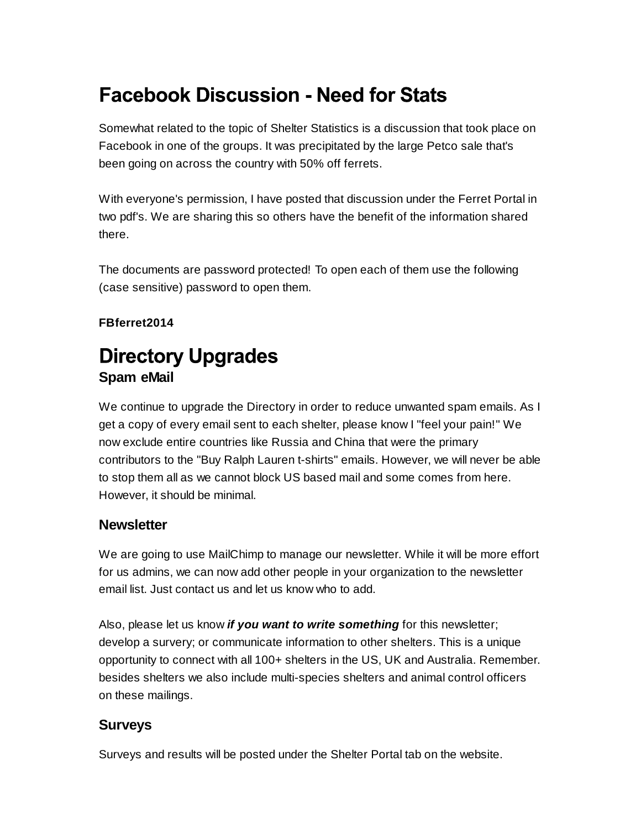# **Facebook Discussion - Need for Stats**

Somewhat related to the topic of Shelter Statistics is a discussion that took place on Facebook in one of the groups. It was precipitated by the large Petco sale that's been going on across the country with 50% off ferrets.

With everyone's permission, I have posted that discussion under the Ferret Portal in two pdf's. We are sharing this so others have the benefit of the information shared there.

The documents are password protected! To open each of them use the following (case sensitive) password to open them.

### **FBferret2014**

## **Directory Upgrades Spam eMail**

We continue to upgrade the Directory in order to reduce unwanted spam emails. As I get a copy of every email sent to each shelter, please know I "feel your pain!" We now exclude entire countries like Russia and China that were the primary contributors to the "Buy Ralph Lauren t-shirts" emails. However, we will never be able to stop them all as we cannot block US based mail and some comes from here. However, it should be minimal.

### **Newsletter**

We are going to use MailChimp to manage our newsletter. While it will be more effort for us admins, we can now add other people in your organization to the newsletter email list. Just contact us and let us know who to add.

Also, please let us know *if you want to write something* for this newsletter; develop a survery; or communicate information to other shelters. This is a unique opportunity to connect with all 100+ shelters in the US, UK and Australia. Remember. besides shelters we also include multi-species shelters and animal control officers on these mailings.

### **Surveys**

Surveys and results will be posted under the Shelter Portal tab on the website.